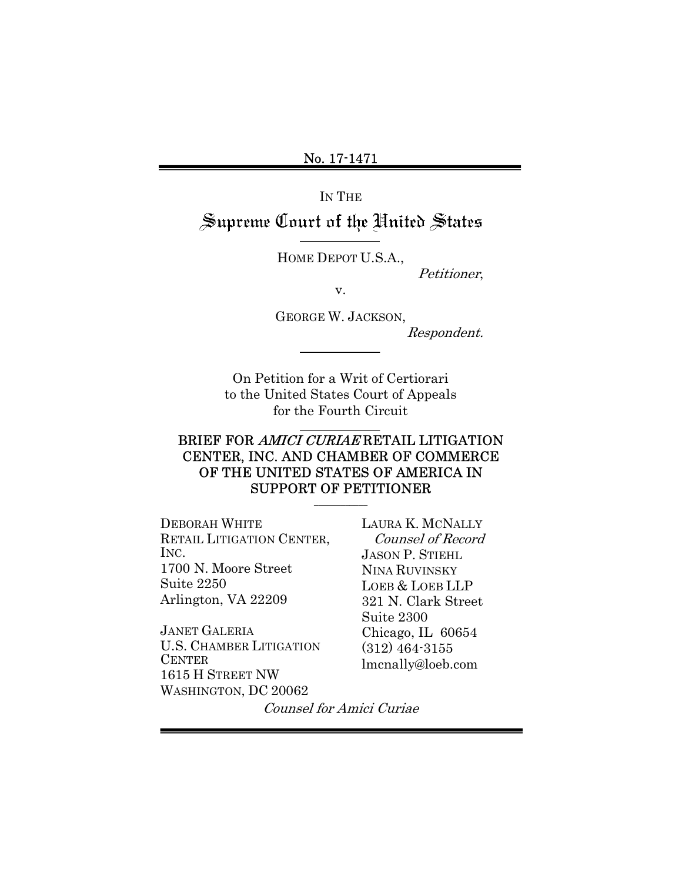IN THE

# Supreme Court of the United States

HOME DEPOT U.S.A.,

Petitioner,

v.

GEORGE W. JACKSON, Respondent.

On Petition for a Writ of Certiorari to the United States Court of Appeals for the Fourth Circuit

### BRIEF FOR AMICI CURIAE RETAIL LITIGATION CENTER, INC. AND CHAMBER OF COMMERCE OF THE UNITED STATES OF AMERICA IN SUPPORT OF PETITIONER

 $\overline{\phantom{a}}$  , where  $\overline{\phantom{a}}$ 

DEBORAH WHITE RETAIL LITIGATION CENTER, INC. 1700 N. Moore Street Suite 2250 Arlington, VA 22209

JANET GALERIA U.S. CHAMBER LITIGATION **CENTER** 1615 H STREET NW WASHINGTON, DC 20062

LAURA K. MCNALLY Counsel of Record JASON P. STIEHL NINA RUVINSKY LOEB & LOEB LLP 321 N. Clark Street Suite 2300 Chicago, IL 60654 (312) 464-3155 lmcnally@loeb.com

Counsel for Amici Curiae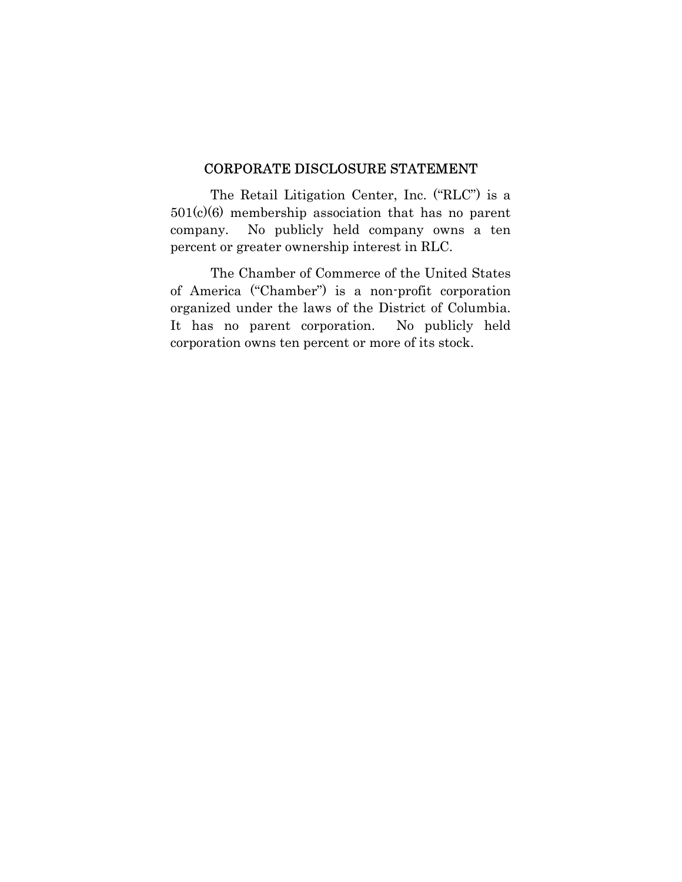#### CORPORATE DISCLOSURE STATEMENT

The Retail Litigation Center, Inc. ("RLC") is a 501(c)(6) membership association that has no parent company. No publicly held company owns a ten percent or greater ownership interest in RLC.

 The Chamber of Commerce of the United States of America ("Chamber") is a non-profit corporation organized under the laws of the District of Columbia. It has no parent corporation. No publicly held corporation owns ten percent or more of its stock.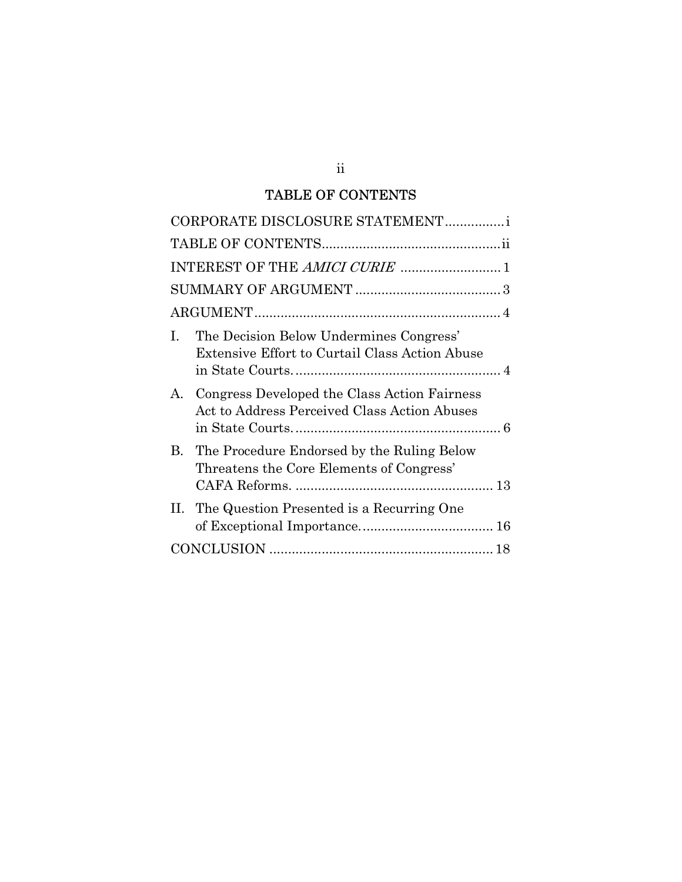## TABLE OF CONTENTS

| CORPORATE DISCLOSURE STATEMENTi                                                                           |
|-----------------------------------------------------------------------------------------------------------|
|                                                                                                           |
| INTEREST OF THE AMICI CURIE  1                                                                            |
|                                                                                                           |
|                                                                                                           |
| The Decision Below Undermines Congress'<br>$\mathbf{I}$<br>Extensive Effort to Curtail Class Action Abuse |
| Congress Developed the Class Action Fairness<br>$A_{-}$<br>Act to Address Perceived Class Action Abuses   |
| The Procedure Endorsed by the Ruling Below<br>B.<br>Threatens the Core Elements of Congress'              |
| The Question Presented is a Recurring One<br>H.                                                           |
|                                                                                                           |

ii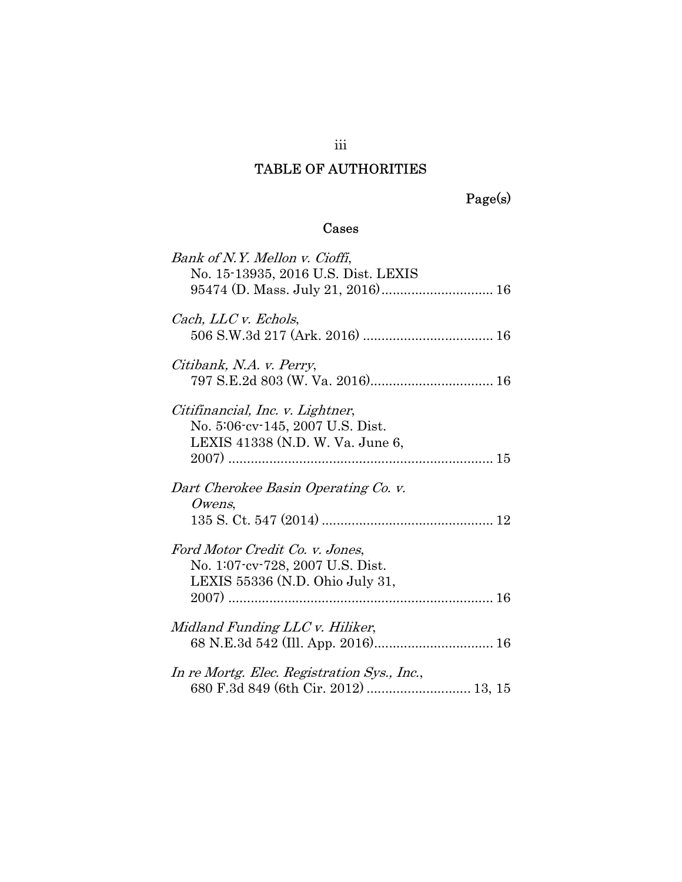## TABLE OF AUTHORITIES

Page(s)

## Cases

| Bank of N.Y. Mellon v. Cioffi,<br>No. 15-13935, 2016 U.S. Dist. LEXIS                                    |
|----------------------------------------------------------------------------------------------------------|
| Cach, LLC v. Echols,                                                                                     |
| Citibank, N.A. v. Perry,                                                                                 |
| Citifinancial, Inc. v. Lightner,<br>No. 5:06-cv-145, 2007 U.S. Dist.<br>LEXIS 41338 (N.D. W. Va. June 6, |
| Dart Cherokee Basin Operating Co. v.                                                                     |
| $Owens$ ,                                                                                                |
|                                                                                                          |
| Ford Motor Credit Co. v. Jones,                                                                          |
| No. 1:07-cv-728, 2007 U.S. Dist.                                                                         |
| LEXIS 55336 (N.D. Ohio July 31,                                                                          |
| Midland Funding LLC v. Hiliker,                                                                          |
| In re Mortg. Elec. Registration Sys., Inc.,                                                              |
| 680 F.3d 849 (6th Cir. 2012)  13, 15                                                                     |

iii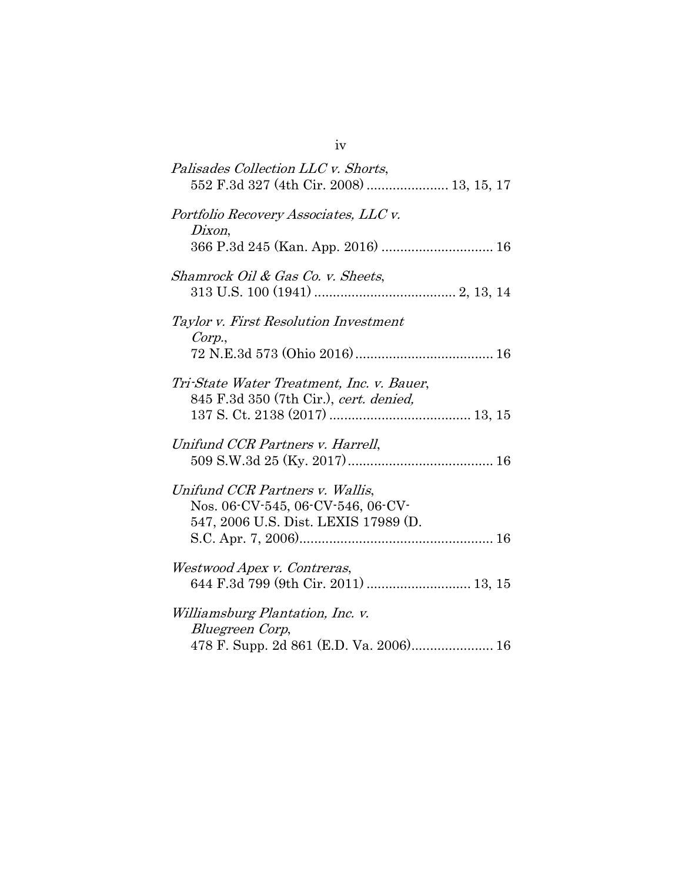| Palisades Collection LLC v. Shorts,                                                                          |
|--------------------------------------------------------------------------------------------------------------|
| Portfolio Recovery Associates, LLC v.<br>Dixon,<br>366 P.3d 245 (Kan. App. 2016)  16                         |
| Shamrock Oil & Gas Co. v. Sheets,                                                                            |
| Taylor v. First Resolution Investment<br>Corp.,                                                              |
| Tri-State Water Treatment, Inc. v. Bauer,<br>845 F.3d 350 (7th Cir.), cert. denied,                          |
| Unifund CCR Partners v. Harrell,                                                                             |
| Unifund CCR Partners v. Wallis,<br>Nos. 06-CV-545, 06-CV-546, 06-CV-<br>547, 2006 U.S. Dist. LEXIS 17989 (D. |
| Westwood Apex v. Contreras,<br>644 F.3d 799 (9th Cir. 2011)  13, 15                                          |
| <i>Williamsburg Plantation, Inc. v.</i><br>Bluegreen Corp,<br>478 F. Supp. 2d 861 (E.D. Va. 2006) 16         |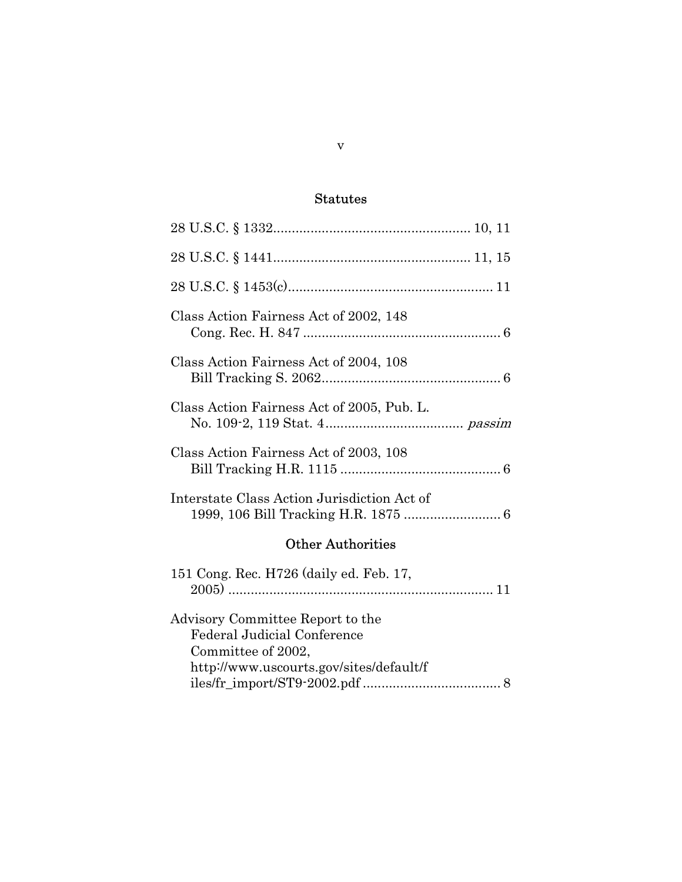## Statutes

| Class Action Fairness Act of 2002, 148                                                                                                  |
|-----------------------------------------------------------------------------------------------------------------------------------------|
| Class Action Fairness Act of 2004, 108                                                                                                  |
| Class Action Fairness Act of 2005, Pub. L.                                                                                              |
| Class Action Fairness Act of 2003, 108                                                                                                  |
| Interstate Class Action Jurisdiction Act of                                                                                             |
| <b>Other Authorities</b>                                                                                                                |
| 151 Cong. Rec. H726 (daily ed. Feb. 17,                                                                                                 |
| Advisory Committee Report to the<br><b>Federal Judicial Conference</b><br>Committee of 2002,<br>http://www.uscourts.gov/sites/default/f |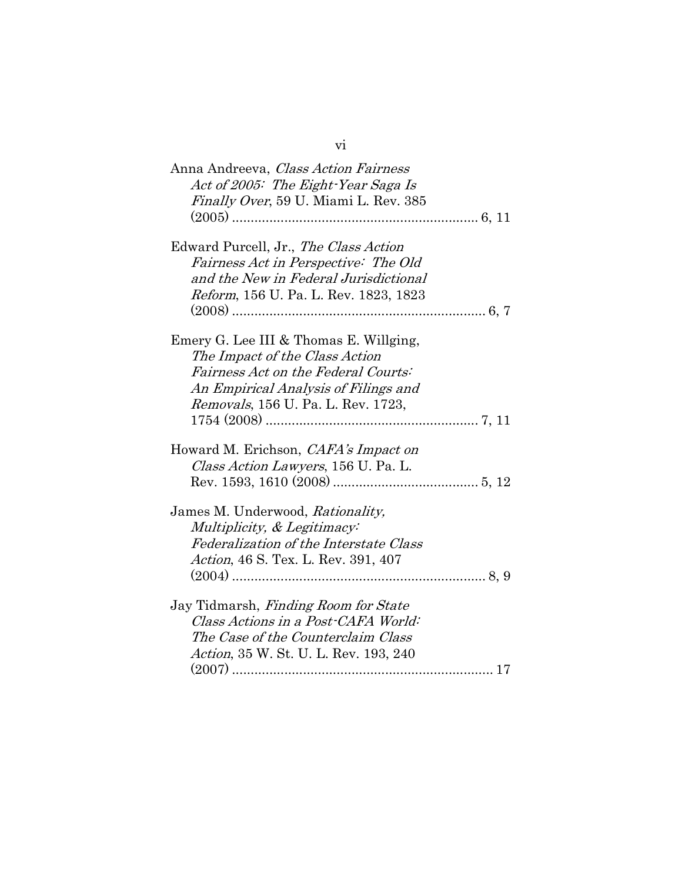| Anna Andreeva, Class Action Fairness          |
|-----------------------------------------------|
| Act of 2005: The Eight-Year Saga Is           |
| Finally Over, 59 U. Miami L. Rev. 385         |
|                                               |
|                                               |
| Edward Purcell, Jr., The Class Action         |
| Fairness Act in Perspective: The Old          |
| and the New in Federal Jurisdictional         |
| <i>Reform</i> , 156 U. Pa. L. Rev. 1823, 1823 |
|                                               |
|                                               |
| Emery G. Lee III & Thomas E. Willging,        |
| The Impact of the Class Action                |
| <i>Fairness Act on the Federal Courts:</i>    |
| An Empirical Analysis of Filings and          |
| Removals, 156 U. Pa. L. Rev. 1723,            |
|                                               |
| Howard M. Erichson, <i>CAFA's Impact on</i>   |
| Class Action Lawyers, 156 U. Pa. L.           |
|                                               |
|                                               |
| James M. Underwood, Rationality,              |
| Multiplicity, & Legitimacy:                   |
| Federalization of the Interstate Class        |
| Action, 46 S. Tex. L. Rev. 391, 407           |
|                                               |
|                                               |
| Jay Tidmarsh, Finding Room for State          |
| Class Actions in a Post-CAFA World:           |
| The Case of the Counterclaim Class            |
| Action, 35 W. St. U. L. Rev. 193, 240         |
|                                               |

vi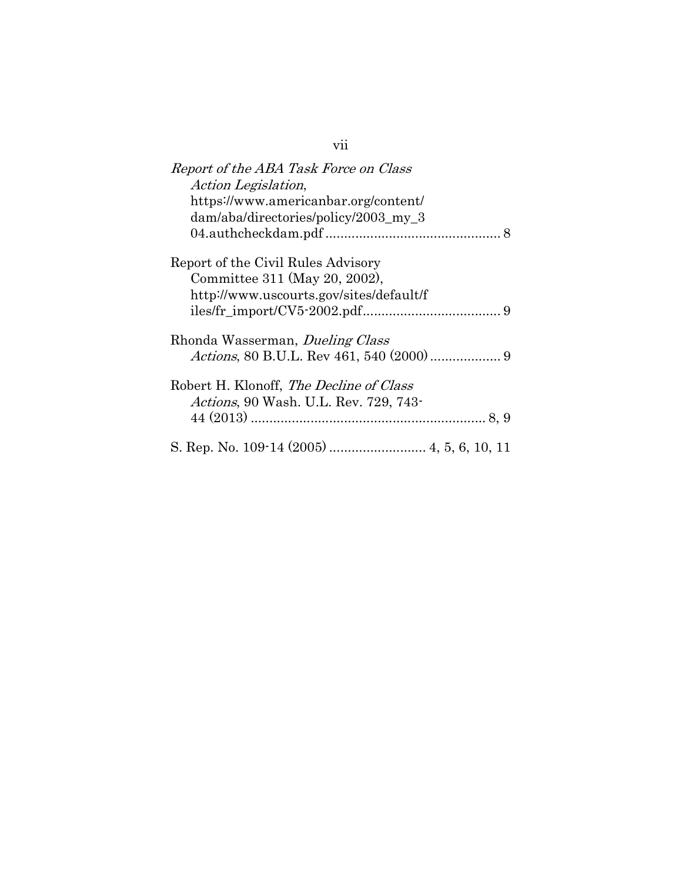| Report of the ABA Task Force on Class          |
|------------------------------------------------|
| <i>Action Legislation,</i>                     |
| https://www.americanbar.org/content/           |
| dam/aba/directories/policy/2003_my_3           |
|                                                |
| Report of the Civil Rules Advisory             |
| Committee 311 (May 20, 2002),                  |
| http://www.uscourts.gov/sites/default/f        |
|                                                |
| Rhonda Wasserman, <i>Dueling Class</i>         |
|                                                |
| Robert H. Klonoff, <i>The Decline of Class</i> |
| <i>Actions</i> , 90 Wash. U.L. Rev. 729, 743-  |
|                                                |
|                                                |

vii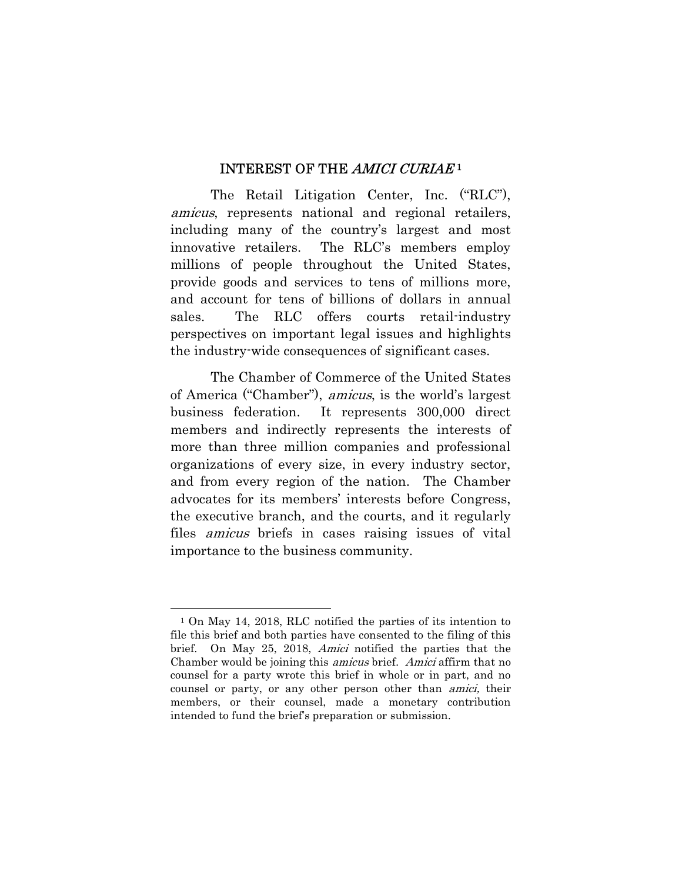#### INTEREST OF THE AMICI CURIAE<sup>1</sup>

 The Retail Litigation Center, Inc. ("RLC"), amicus, represents national and regional retailers, including many of the country's largest and most innovative retailers. The RLC's members employ millions of people throughout the United States, provide goods and services to tens of millions more, and account for tens of billions of dollars in annual sales. The RLC offers courts retail-industry perspectives on important legal issues and highlights the industry-wide consequences of significant cases.

 The Chamber of Commerce of the United States of America ("Chamber"), amicus, is the world's largest business federation. It represents 300,000 direct members and indirectly represents the interests of more than three million companies and professional organizations of every size, in every industry sector, and from every region of the nation. The Chamber advocates for its members' interests before Congress, the executive branch, and the courts, and it regularly files amicus briefs in cases raising issues of vital importance to the business community.

 $\overline{a}$ 

<sup>1</sup> On May 14, 2018, RLC notified the parties of its intention to file this brief and both parties have consented to the filing of this brief. On May 25, 2018, *Amici* notified the parties that the Chamber would be joining this *amicus* brief. Amici affirm that no counsel for a party wrote this brief in whole or in part, and no counsel or party, or any other person other than *amici*, their members, or their counsel, made a monetary contribution intended to fund the brief's preparation or submission.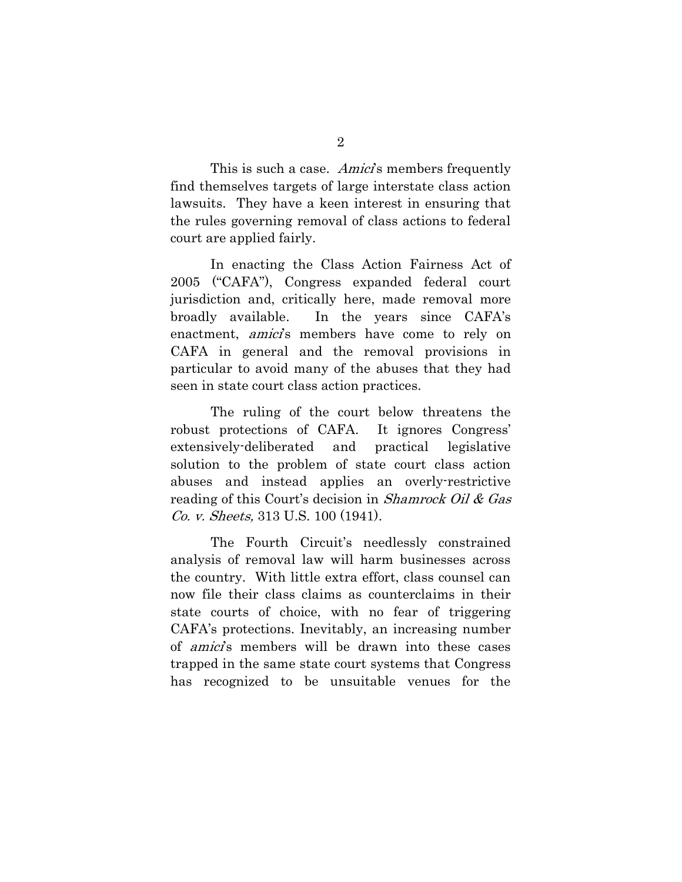This is such a case. Amici's members frequently find themselves targets of large interstate class action lawsuits. They have a keen interest in ensuring that the rules governing removal of class actions to federal court are applied fairly.

In enacting the Class Action Fairness Act of 2005 ("CAFA"), Congress expanded federal court jurisdiction and, critically here, made removal more broadly available. In the years since CAFA's enactment, *amici*'s members have come to rely on CAFA in general and the removal provisions in particular to avoid many of the abuses that they had seen in state court class action practices.

 The ruling of the court below threatens the robust protections of CAFA. It ignores Congress' extensively-deliberated and practical legislative solution to the problem of state court class action abuses and instead applies an overly-restrictive reading of this Court's decision in Shamrock Oil & Gas Co. v. Sheets, 313 U.S. 100 (1941).

 The Fourth Circuit's needlessly constrained analysis of removal law will harm businesses across the country. With little extra effort, class counsel can now file their class claims as counterclaims in their state courts of choice, with no fear of triggering CAFA's protections. Inevitably, an increasing number of *amici*'s members will be drawn into these cases trapped in the same state court systems that Congress has recognized to be unsuitable venues for the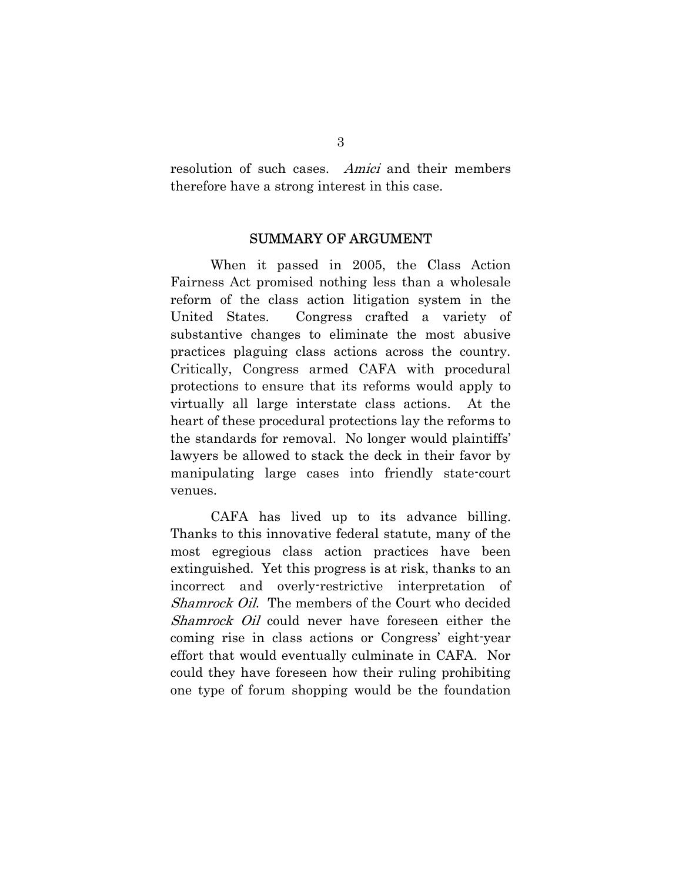resolution of such cases. Amici and their members therefore have a strong interest in this case.

#### SUMMARY OF ARGUMENT

 When it passed in 2005, the Class Action Fairness Act promised nothing less than a wholesale reform of the class action litigation system in the United States. Congress crafted a variety of substantive changes to eliminate the most abusive practices plaguing class actions across the country. Critically, Congress armed CAFA with procedural protections to ensure that its reforms would apply to virtually all large interstate class actions. At the heart of these procedural protections lay the reforms to the standards for removal. No longer would plaintiffs' lawyers be allowed to stack the deck in their favor by manipulating large cases into friendly state-court venues.

 CAFA has lived up to its advance billing. Thanks to this innovative federal statute, many of the most egregious class action practices have been extinguished. Yet this progress is at risk, thanks to an incorrect and overly-restrictive interpretation of Shamrock Oil. The members of the Court who decided Shamrock Oil could never have foreseen either the coming rise in class actions or Congress' eight-year effort that would eventually culminate in CAFA. Nor could they have foreseen how their ruling prohibiting one type of forum shopping would be the foundation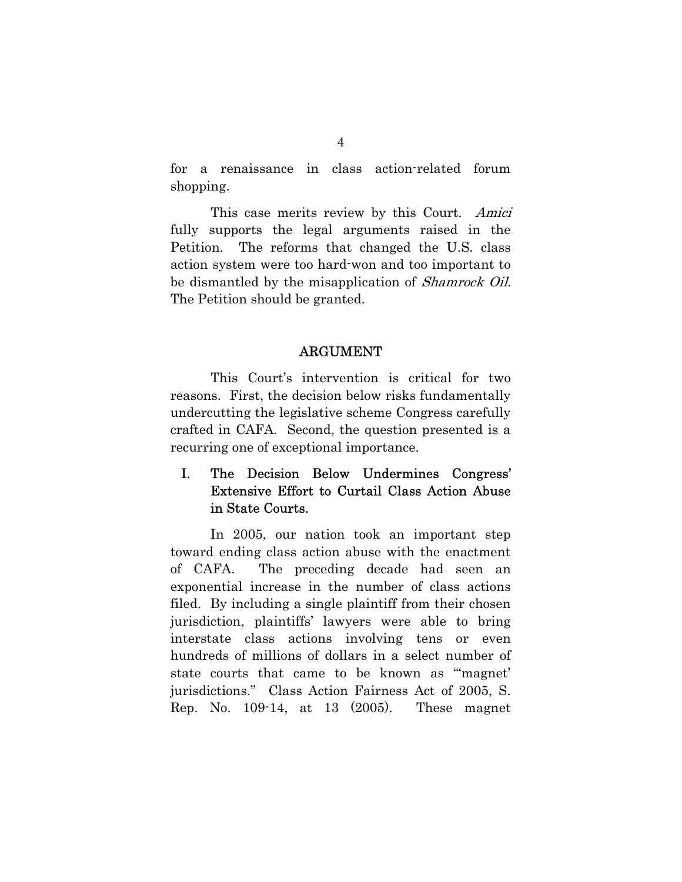for a renaissance in class action-related forum shopping.

This case merits review by this Court. Amici fully supports the legal arguments raised in the Petition. The reforms that changed the U.S. class action system were too hard-won and too important to be dismantled by the misapplication of *Shamrock Oil*. The Petition should be granted.

#### ARGUMENT

 This Court's intervention is critical for two reasons. First, the decision below risks fundamentally undercutting the legislative scheme Congress carefully crafted in CAFA. Second, the question presented is a recurring one of exceptional importance.

## I. The Decision Below Undermines Congress' Extensive Effort to Curtail Class Action Abuse in State Courts.

In 2005, our nation took an important step toward ending class action abuse with the enactment of CAFA. The preceding decade had seen an exponential increase in the number of class actions filed. By including a single plaintiff from their chosen jurisdiction, plaintiffs' lawyers were able to bring interstate class actions involving tens or even hundreds of millions of dollars in a select number of state courts that came to be known as "'magnet' jurisdictions." Class Action Fairness Act of 2005, S. Rep. No. 109-14, at 13 (2005). These magnet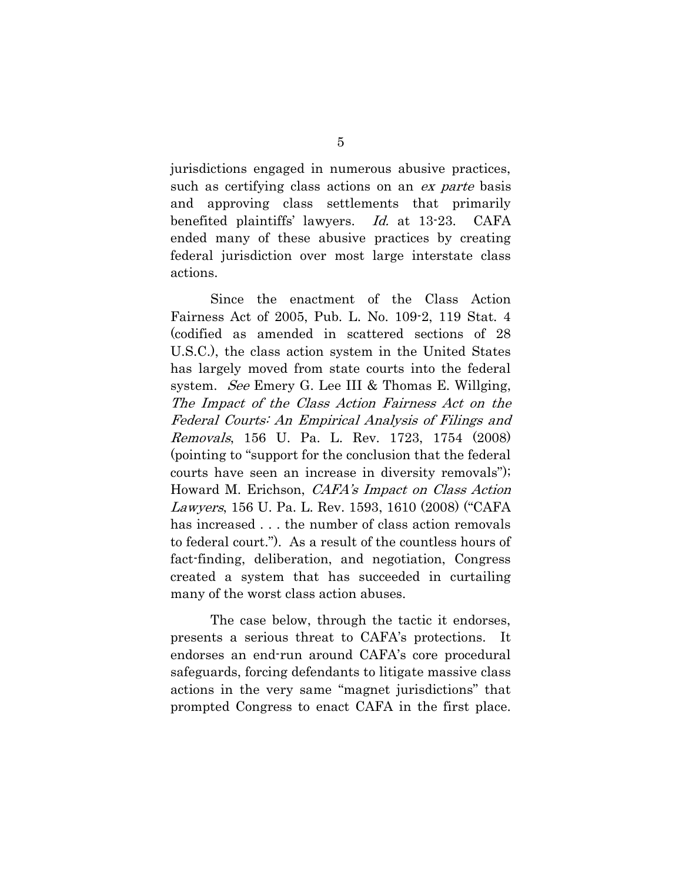jurisdictions engaged in numerous abusive practices, such as certifying class actions on an ex parte basis and approving class settlements that primarily benefited plaintiffs' lawyers. Id. at 13-23. CAFA ended many of these abusive practices by creating federal jurisdiction over most large interstate class actions.

Since the enactment of the Class Action Fairness Act of 2005, Pub. L. No. 109-2, 119 Stat. 4 (codified as amended in scattered sections of 28 U.S.C.), the class action system in the United States has largely moved from state courts into the federal system. See Emery G. Lee III & Thomas E. Willging, The Impact of the Class Action Fairness Act on the Federal Courts: An Empirical Analysis of Filings and Removals, 156 U. Pa. L. Rev. 1723, 1754 (2008) (pointing to "support for the conclusion that the federal courts have seen an increase in diversity removals"); Howard M. Erichson, CAFA's Impact on Class Action Lawyers, 156 U. Pa. L. Rev. 1593, 1610 (2008) ("CAFA has increased . . . the number of class action removals to federal court."). As a result of the countless hours of fact-finding, deliberation, and negotiation, Congress created a system that has succeeded in curtailing many of the worst class action abuses.

The case below, through the tactic it endorses, presents a serious threat to CAFA's protections. It endorses an end-run around CAFA's core procedural safeguards, forcing defendants to litigate massive class actions in the very same "magnet jurisdictions" that prompted Congress to enact CAFA in the first place.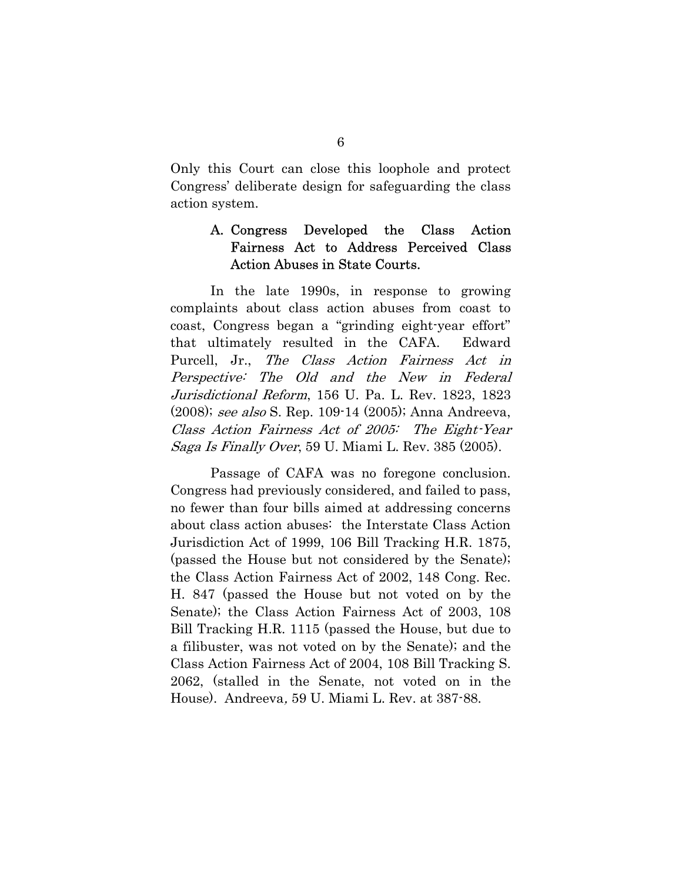Only this Court can close this loophole and protect Congress' deliberate design for safeguarding the class action system.

## A. Congress Developed the Class Action Fairness Act to Address Perceived Class Action Abuses in State Courts.

In the late 1990s, in response to growing complaints about class action abuses from coast to coast, Congress began a "grinding eight-year effort" that ultimately resulted in the CAFA. Edward Purcell, Jr., The Class Action Fairness Act in Perspective: The Old and the New in Federal Jurisdictional Reform, 156 U. Pa. L. Rev. 1823, 1823 (2008); see also S. Rep. 109-14 (2005); Anna Andreeva, Class Action Fairness Act of 2005: The Eight-Year Saga Is Finally Over, 59 U. Miami L. Rev. 385 (2005).

Passage of CAFA was no foregone conclusion. Congress had previously considered, and failed to pass, no fewer than four bills aimed at addressing concerns about class action abuses: the Interstate Class Action Jurisdiction Act of 1999, 106 Bill Tracking H.R. 1875, (passed the House but not considered by the Senate); the Class Action Fairness Act of 2002, 148 Cong. Rec. H. 847 (passed the House but not voted on by the Senate); the Class Action Fairness Act of 2003, 108 Bill Tracking H.R. 1115 (passed the House, but due to a filibuster, was not voted on by the Senate); and the Class Action Fairness Act of 2004, 108 Bill Tracking S. 2062, (stalled in the Senate, not voted on in the House). Andreeva, 59 U. Miami L. Rev. at 387-88.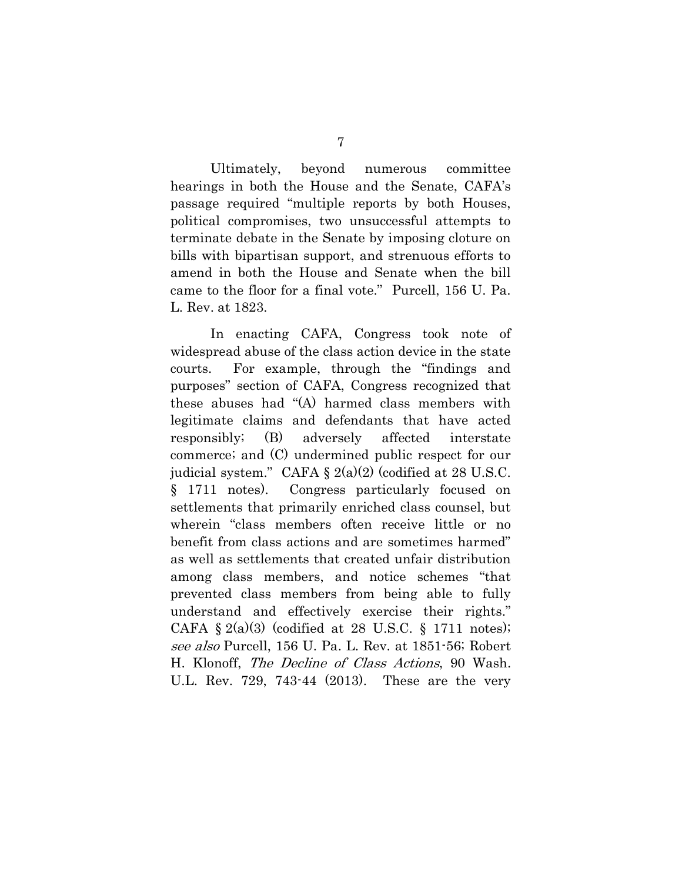Ultimately, beyond numerous committee hearings in both the House and the Senate, CAFA's passage required "multiple reports by both Houses, political compromises, two unsuccessful attempts to terminate debate in the Senate by imposing cloture on bills with bipartisan support, and strenuous efforts to amend in both the House and Senate when the bill came to the floor for a final vote." Purcell, 156 U. Pa. L. Rev. at 1823.

In enacting CAFA, Congress took note of widespread abuse of the class action device in the state courts. For example, through the "findings and purposes" section of CAFA, Congress recognized that these abuses had "(A) harmed class members with legitimate claims and defendants that have acted responsibly; (B) adversely affected interstate commerce; and (C) undermined public respect for our judicial system." CAFA  $\S 2(a)(2)$  (codified at 28 U.S.C. § 1711 notes). Congress particularly focused on settlements that primarily enriched class counsel, but wherein "class members often receive little or no benefit from class actions and are sometimes harmed" as well as settlements that created unfair distribution among class members, and notice schemes "that prevented class members from being able to fully understand and effectively exercise their rights." CAFA  $\S 2(a)(3)$  (codified at 28 U.S.C.  $\S 1711$  notes); see also Purcell, 156 U. Pa. L. Rev. at 1851-56; Robert H. Klonoff, The Decline of Class Actions, 90 Wash. U.L. Rev. 729, 743-44 (2013). These are the very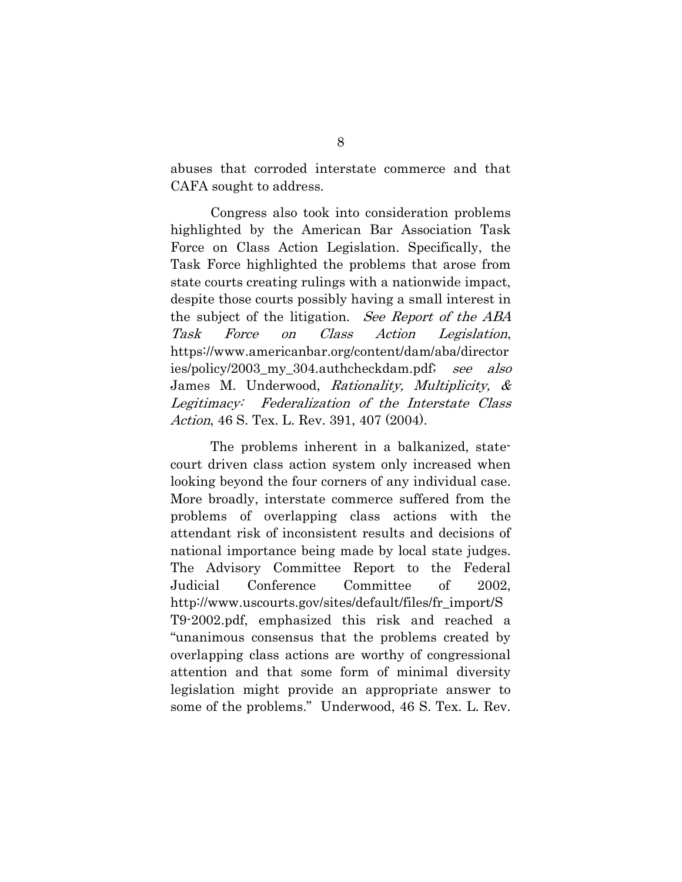abuses that corroded interstate commerce and that CAFA sought to address.

Congress also took into consideration problems highlighted by the American Bar Association Task Force on Class Action Legislation. Specifically, the Task Force highlighted the problems that arose from state courts creating rulings with a nationwide impact, despite those courts possibly having a small interest in the subject of the litigation. See Report of the ABA Task Force on Class Action Legislation, https://www.americanbar.org/content/dam/aba/director ies/policy/2003\_my\_304.authcheckdam.pdf; see also James M. Underwood, Rationality, Multiplicity, & Legitimacy: Federalization of the Interstate Class Action, 46 S. Tex. L. Rev. 391, 407 (2004).

The problems inherent in a balkanized, statecourt driven class action system only increased when looking beyond the four corners of any individual case. More broadly, interstate commerce suffered from the problems of overlapping class actions with the attendant risk of inconsistent results and decisions of national importance being made by local state judges. The Advisory Committee Report to the Federal Judicial Conference Committee of 2002, http://www.uscourts.gov/sites/default/files/fr\_import/S T9-2002.pdf, emphasized this risk and reached a "unanimous consensus that the problems created by overlapping class actions are worthy of congressional attention and that some form of minimal diversity legislation might provide an appropriate answer to some of the problems." Underwood, 46 S. Tex. L. Rev.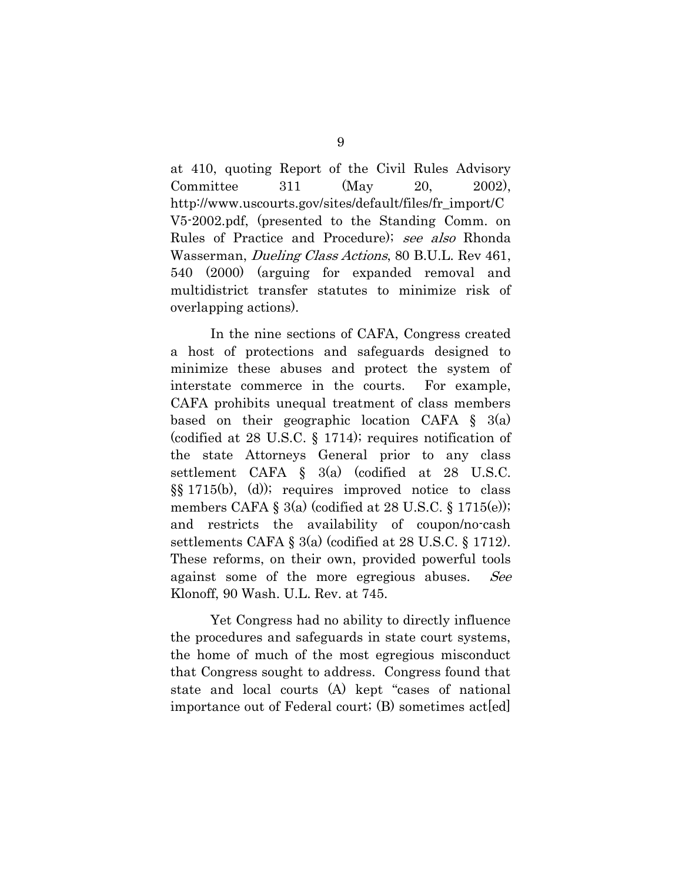at 410, quoting Report of the Civil Rules Advisory Committee 311 (May 20, 2002), http://www.uscourts.gov/sites/default/files/fr\_import/C V5-2002.pdf, (presented to the Standing Comm. on Rules of Practice and Procedure); see also Rhonda Wasserman, *Dueling Class Actions*, 80 B.U.L. Rev 461, 540 (2000) (arguing for expanded removal and multidistrict transfer statutes to minimize risk of overlapping actions).

In the nine sections of CAFA, Congress created a host of protections and safeguards designed to minimize these abuses and protect the system of interstate commerce in the courts. For example, CAFA prohibits unequal treatment of class members based on their geographic location CAFA § 3(a) (codified at 28 U.S.C. § 1714); requires notification of the state Attorneys General prior to any class settlement CAFA § 3(a) (codified at 28 U.S.C. §§ 1715(b), (d)); requires improved notice to class members CAFA  $\S$  3(a) (codified at 28 U.S.C.  $\S$  1715(e)); and restricts the availability of coupon/no-cash settlements CAFA § 3(a) (codified at 28 U.S.C. § 1712). These reforms, on their own, provided powerful tools against some of the more egregious abuses. See Klonoff, 90 Wash. U.L. Rev. at 745.

Yet Congress had no ability to directly influence the procedures and safeguards in state court systems, the home of much of the most egregious misconduct that Congress sought to address. Congress found that state and local courts (A) kept "cases of national importance out of Federal court; (B) sometimes act[ed]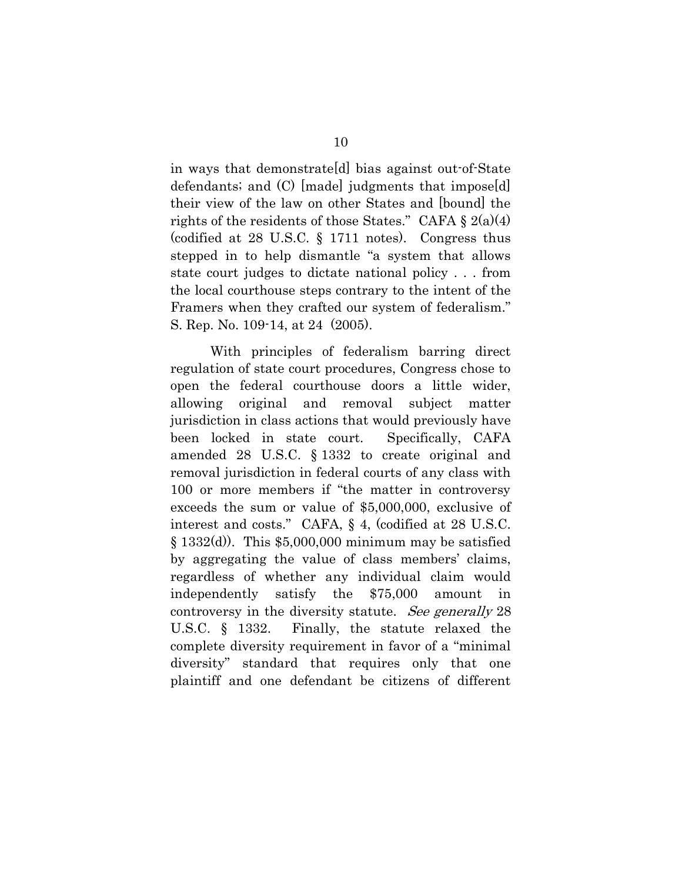in ways that demonstrate[d] bias against out-of-State defendants; and (C) [made] judgments that impose[d] their view of the law on other States and [bound] the rights of the residents of those States." CAFA  $\S 2(a)(4)$ (codified at 28 U.S.C. § 1711 notes). Congress thus stepped in to help dismantle "a system that allows state court judges to dictate national policy . . . from the local courthouse steps contrary to the intent of the Framers when they crafted our system of federalism." S. Rep. No. 109-14, at 24 (2005).

With principles of federalism barring direct regulation of state court procedures, Congress chose to open the federal courthouse doors a little wider, allowing original and removal subject matter jurisdiction in class actions that would previously have been locked in state court. Specifically, CAFA amended 28 U.S.C. § 1332 to create original and removal jurisdiction in federal courts of any class with 100 or more members if "the matter in controversy exceeds the sum or value of \$5,000,000, exclusive of interest and costs." CAFA, § 4, (codified at 28 U.S.C.  $\S 1332(d)$ . This \$5,000,000 minimum may be satisfied by aggregating the value of class members' claims, regardless of whether any individual claim would independently satisfy the \$75,000 amount in controversy in the diversity statute. See generally 28 U.S.C. § 1332. Finally, the statute relaxed the complete diversity requirement in favor of a "minimal diversity" standard that requires only that one plaintiff and one defendant be citizens of different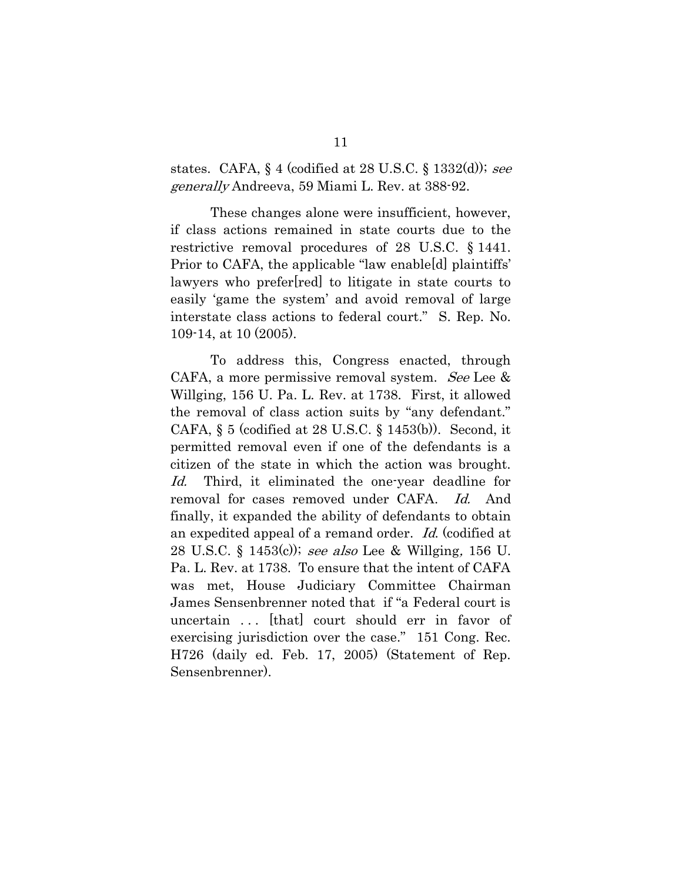states. CAFA,  $\S$  4 (codified at 28 U.S.C.  $\S$  1332(d)); see generally Andreeva, 59 Miami L. Rev. at 388-92.

These changes alone were insufficient, however, if class actions remained in state courts due to the restrictive removal procedures of 28 U.S.C. § 1441. Prior to CAFA, the applicable "law enable[d] plaintiffs' lawyers who prefer[red] to litigate in state courts to easily 'game the system' and avoid removal of large interstate class actions to federal court." S. Rep. No. 109-14, at 10 (2005).

To address this, Congress enacted, through CAFA, a more permissive removal system. See Lee & Willging, 156 U. Pa. L. Rev. at 1738. First, it allowed the removal of class action suits by "any defendant." CAFA,  $\S$  5 (codified at 28 U.S.C.  $\S$  1453(b)). Second, it permitted removal even if one of the defendants is a citizen of the state in which the action was brought. Id. Third, it eliminated the one-year deadline for removal for cases removed under CAFA. Id. And finally, it expanded the ability of defendants to obtain an expedited appeal of a remand order. Id. (codified at 28 U.S.C. § 1453(c)); see also Lee & Willging, 156 U. Pa. L. Rev. at 1738. To ensure that the intent of CAFA was met, House Judiciary Committee Chairman James Sensenbrenner noted that if "a Federal court is uncertain . . . [that] court should err in favor of exercising jurisdiction over the case." 151 Cong. Rec. H726 (daily ed. Feb. 17, 2005) (Statement of Rep. Sensenbrenner).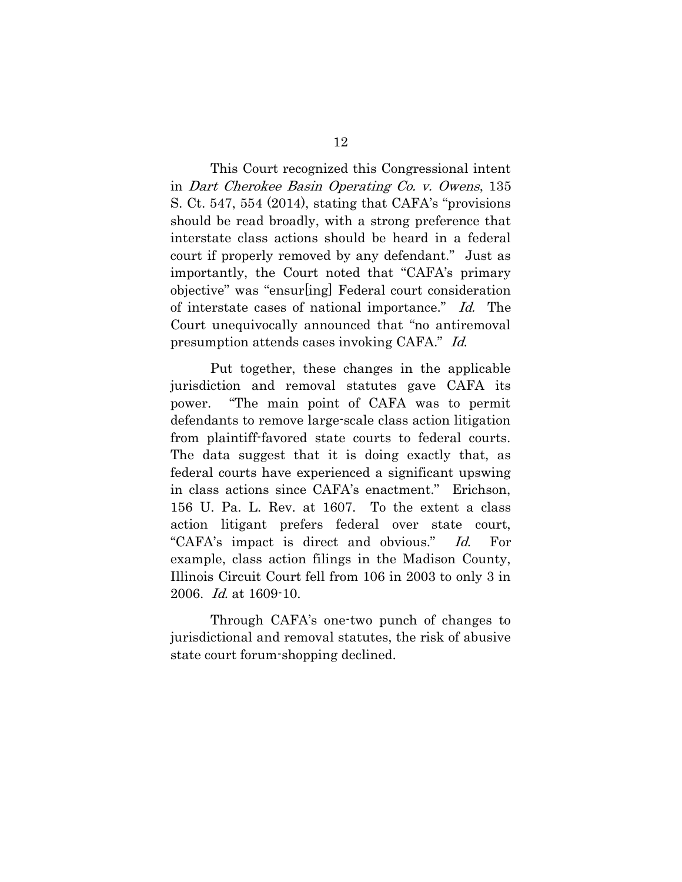This Court recognized this Congressional intent in Dart Cherokee Basin Operating Co. v. Owens, 135 S. Ct. 547, 554 (2014), stating that CAFA's "provisions should be read broadly, with a strong preference that interstate class actions should be heard in a federal court if properly removed by any defendant." Just as importantly, the Court noted that "CAFA's primary objective" was "ensur[ing] Federal court consideration of interstate cases of national importance." Id. The Court unequivocally announced that "no antiremoval presumption attends cases invoking CAFA." Id.

Put together, these changes in the applicable jurisdiction and removal statutes gave CAFA its power. "The main point of CAFA was to permit defendants to remove large-scale class action litigation from plaintiff-favored state courts to federal courts. The data suggest that it is doing exactly that, as federal courts have experienced a significant upswing in class actions since CAFA's enactment." Erichson, 156 U. Pa. L. Rev. at 1607. To the extent a class action litigant prefers federal over state court, "CAFA's impact is direct and obvious." Id. For example, class action filings in the Madison County, Illinois Circuit Court fell from 106 in 2003 to only 3 in 2006. Id. at 1609-10.

Through CAFA's one-two punch of changes to jurisdictional and removal statutes, the risk of abusive state court forum-shopping declined.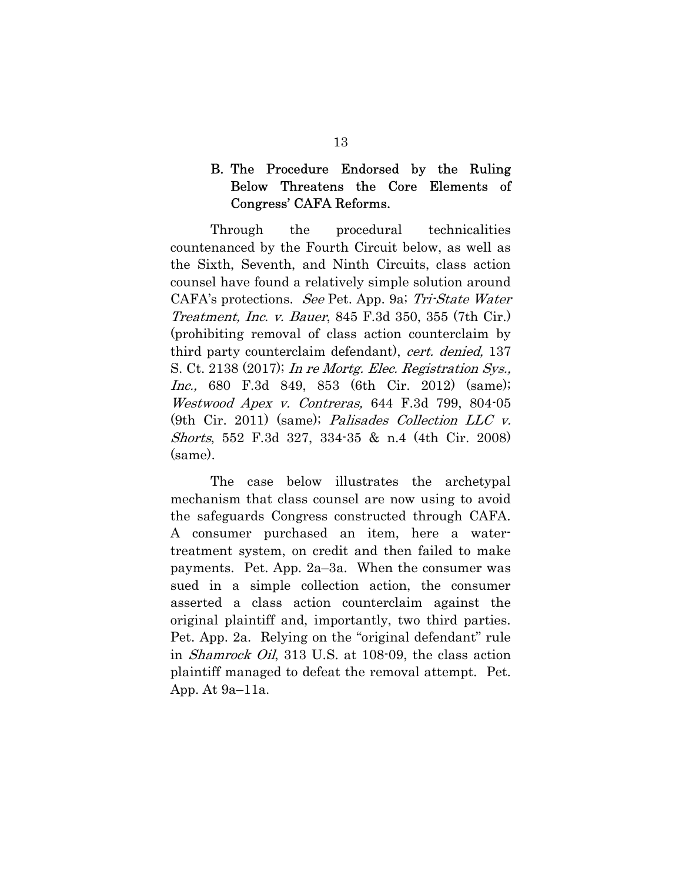## B. The Procedure Endorsed by the Ruling Below Threatens the Core Elements of Congress' CAFA Reforms.

Through the procedural technicalities countenanced by the Fourth Circuit below, as well as the Sixth, Seventh, and Ninth Circuits, class action counsel have found a relatively simple solution around CAFA's protections. See Pet. App. 9a; Tri-State Water Treatment, Inc. v. Bauer, 845 F.3d 350, 355 (7th Cir.) (prohibiting removal of class action counterclaim by third party counterclaim defendant), cert. denied, 137 S. Ct. 2138 (2017); In re Mortg. Elec. Registration Sys., Inc., 680 F.3d 849, 853 (6th Cir. 2012) (same); Westwood Apex v. Contreras, 644 F.3d 799, 804-05 (9th Cir. 2011) (same); Palisades Collection LLC v. Shorts, 552 F.3d 327, 334-35 & n.4 (4th Cir. 2008) (same).

The case below illustrates the archetypal mechanism that class counsel are now using to avoid the safeguards Congress constructed through CAFA. A consumer purchased an item, here a watertreatment system, on credit and then failed to make payments. Pet. App. 2a–3a. When the consumer was sued in a simple collection action, the consumer asserted a class action counterclaim against the original plaintiff and, importantly, two third parties. Pet. App. 2a. Relying on the "original defendant" rule in Shamrock Oil, 313 U.S. at 108-09, the class action plaintiff managed to defeat the removal attempt. Pet. App. At 9a–11a.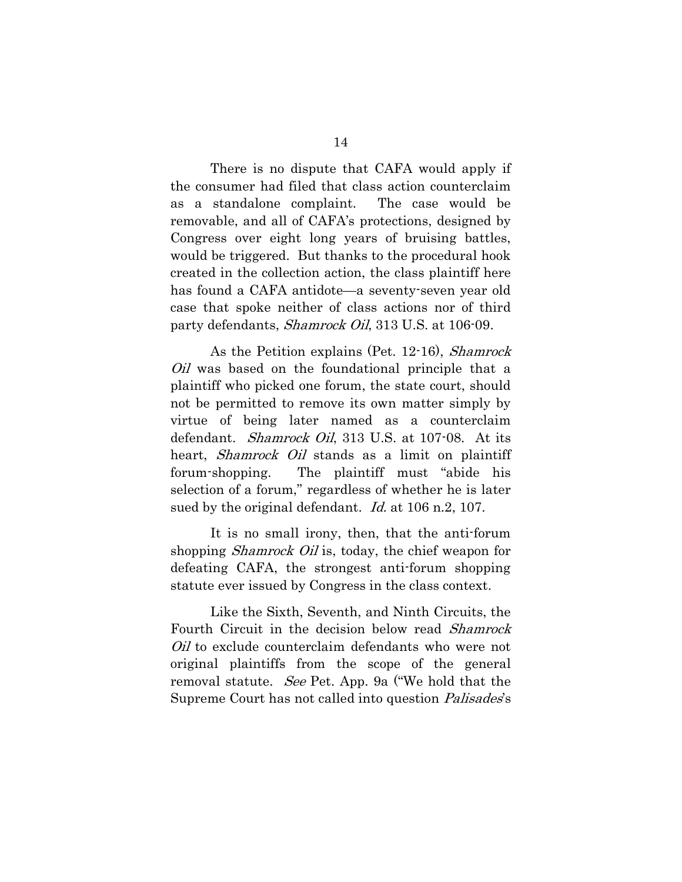There is no dispute that CAFA would apply if the consumer had filed that class action counterclaim as a standalone complaint. The case would be removable, and all of CAFA's protections, designed by Congress over eight long years of bruising battles, would be triggered. But thanks to the procedural hook created in the collection action, the class plaintiff here has found a CAFA antidote—a seventy-seven year old case that spoke neither of class actions nor of third party defendants, *Shamrock Oil*, 313 U.S. at 106-09.

As the Petition explains (Pet. 12-16), Shamrock *Oil* was based on the foundational principle that a plaintiff who picked one forum, the state court, should not be permitted to remove its own matter simply by virtue of being later named as a counterclaim defendant. *Shamrock Oil*, 313 U.S. at 107-08. At its heart, *Shamrock Oil* stands as a limit on plaintiff forum-shopping. The plaintiff must "abide his selection of a forum," regardless of whether he is later sued by the original defendant. *Id.* at 106 n.2, 107.

It is no small irony, then, that the anti-forum shopping *Shamrock Oil* is, today, the chief weapon for defeating CAFA, the strongest anti-forum shopping statute ever issued by Congress in the class context.

Like the Sixth, Seventh, and Ninth Circuits, the Fourth Circuit in the decision below read Shamrock *Oil* to exclude counterclaim defendants who were not original plaintiffs from the scope of the general removal statute. *See* Pet. App. 9a ("We hold that the Supreme Court has not called into question *Palisades's*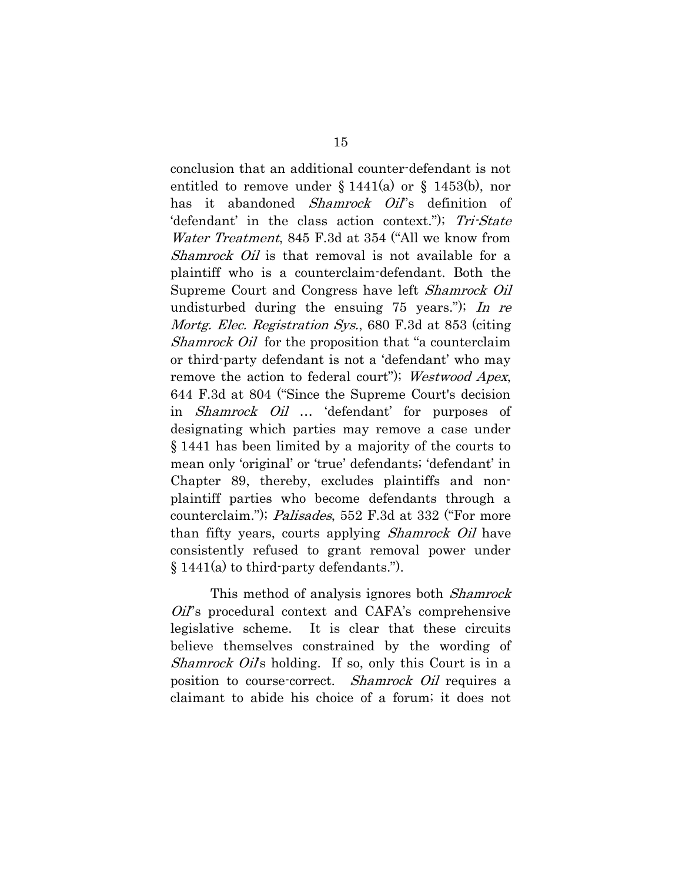conclusion that an additional counter-defendant is not entitled to remove under  $\S 1441(a)$  or  $\S 1453(b)$ , nor has it abandoned *Shamrock Oil*'s definition of 'defendant' in the class action context."); Tri-State Water Treatment, 845 F.3d at 354 ("All we know from Shamrock Oil is that removal is not available for a plaintiff who is a counterclaim-defendant. Both the Supreme Court and Congress have left Shamrock Oil undisturbed during the ensuing  $75$  years."); In re Mortg. Elec. Registration Sys., 680 F.3d at 853 (citing Shamrock Oil for the proposition that "a counterclaim" or third-party defendant is not a 'defendant' who may remove the action to federal court"); Westwood Apex, 644 F.3d at 804 ("Since the Supreme Court's decision in Shamrock Oil … 'defendant' for purposes of designating which parties may remove a case under § 1441 has been limited by a majority of the courts to mean only 'original' or 'true' defendants; 'defendant' in Chapter 89, thereby, excludes plaintiffs and nonplaintiff parties who become defendants through a counterclaim."); *Palisades*, 552 F.3d at 332 ("For more than fifty years, courts applying *Shamrock Oil* have consistently refused to grant removal power under § 1441(a) to third-party defendants.").

This method of analysis ignores both *Shamrock* Oil''s procedural context and CAFA's comprehensive legislative scheme. It is clear that these circuits believe themselves constrained by the wording of Shamrock Oil's holding. If so, only this Court is in a position to course-correct. *Shamrock Oil* requires a claimant to abide his choice of a forum; it does not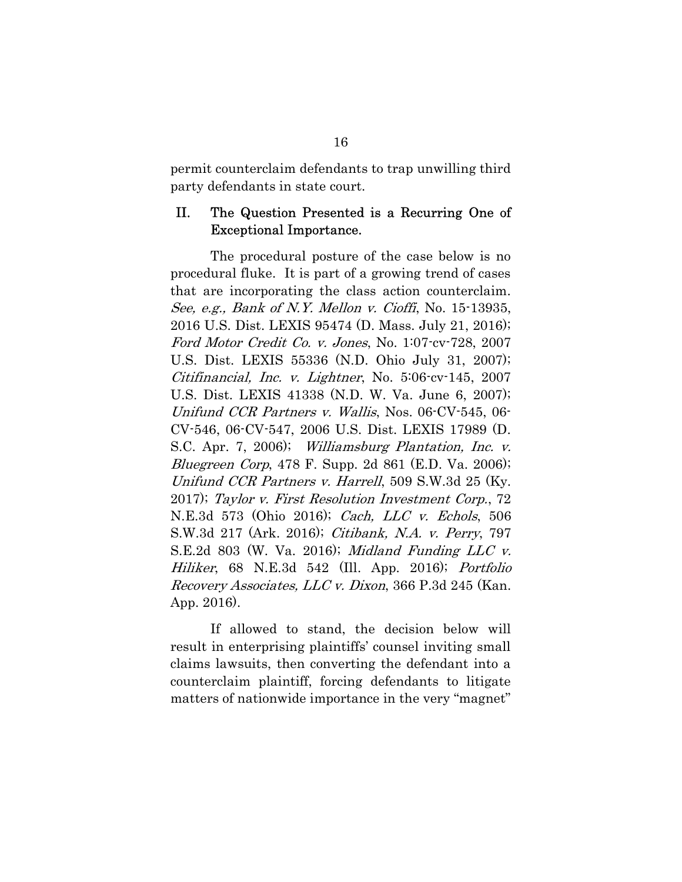permit counterclaim defendants to trap unwilling third party defendants in state court.

#### II. The Question Presented is a Recurring One of Exceptional Importance.

The procedural posture of the case below is no procedural fluke. It is part of a growing trend of cases that are incorporating the class action counterclaim. See, e.g., Bank of N.Y. Mellon v. Cioffi, No. 15-13935, 2016 U.S. Dist. LEXIS 95474 (D. Mass. July 21, 2016); Ford Motor Credit Co. v. Jones, No. 1:07-cv-728, 2007 U.S. Dist. LEXIS 55336 (N.D. Ohio July 31, 2007); Citifinancial, Inc. v. Lightner, No. 5:06-cv-145, 2007 U.S. Dist. LEXIS 41338 (N.D. W. Va. June 6, 2007); Unifund CCR Partners v. Wallis, Nos. 06-CV-545, 06- CV-546, 06-CV-547, 2006 U.S. Dist. LEXIS 17989 (D. S.C. Apr. 7, 2006); Williamsburg Plantation, Inc. v. *Bluegreen Corp*, 478 F. Supp. 2d 861 (E.D. Va. 2006); Unifund CCR Partners v. Harrell, 509 S.W.3d 25 (Ky. 2017); Taylor v. First Resolution Investment Corp., 72 N.E.3d 573 (Ohio 2016); Cach, LLC v. Echols, 506 S.W.3d 217 (Ark. 2016); Citibank, N.A. v. Perry, 797 S.E.2d 803 (W. Va. 2016); Midland Funding LLC v. Hiliker, 68 N.E.3d 542 (Ill. App. 2016); Portfolio Recovery Associates, LLC v. Dixon, 366 P.3d 245 (Kan. App. 2016).

If allowed to stand, the decision below will result in enterprising plaintiffs' counsel inviting small claims lawsuits, then converting the defendant into a counterclaim plaintiff, forcing defendants to litigate matters of nationwide importance in the very "magnet"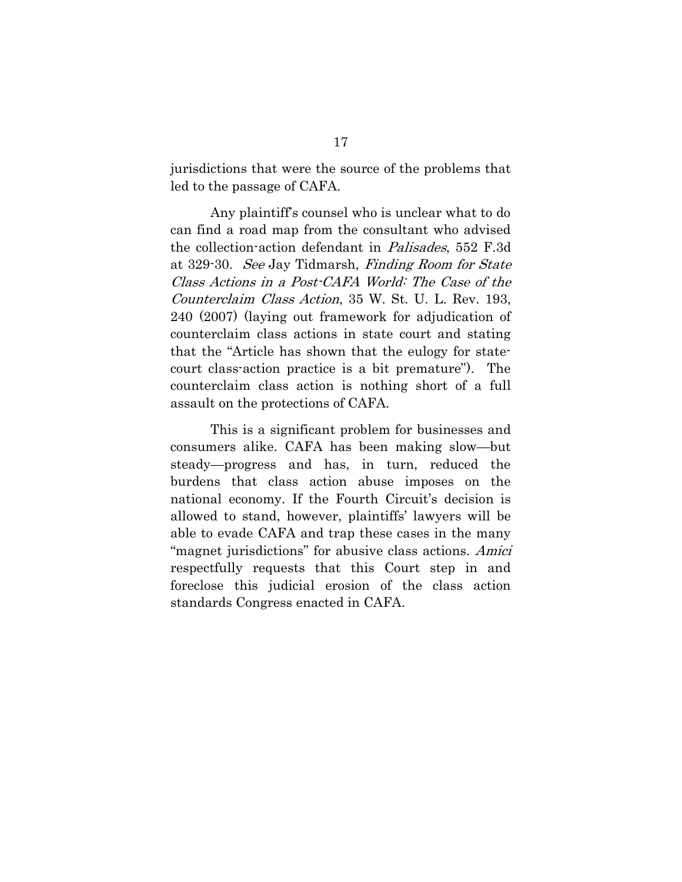jurisdictions that were the source of the problems that led to the passage of CAFA.

Any plaintiff's counsel who is unclear what to do can find a road map from the consultant who advised the collection-action defendant in Palisades, 552 F.3d at 329-30. See Jay Tidmarsh, Finding Room for State Class Actions in a Post-CAFA World: The Case of the Counterclaim Class Action, 35 W. St. U. L. Rev. 193, 240 (2007) (laying out framework for adjudication of counterclaim class actions in state court and stating that the "Article has shown that the eulogy for statecourt class-action practice is a bit premature"). The counterclaim class action is nothing short of a full assault on the protections of CAFA.

This is a significant problem for businesses and consumers alike. CAFA has been making slow—but steady—progress and has, in turn, reduced the burdens that class action abuse imposes on the national economy. If the Fourth Circuit's decision is allowed to stand, however, plaintiffs' lawyers will be able to evade CAFA and trap these cases in the many "magnet jurisdictions" for abusive class actions. Amici respectfully requests that this Court step in and foreclose this judicial erosion of the class action standards Congress enacted in CAFA.